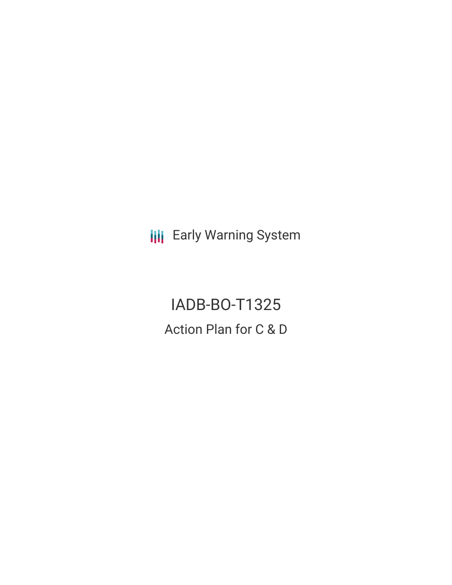**III** Early Warning System

IADB-BO-T1325 Action Plan for C & D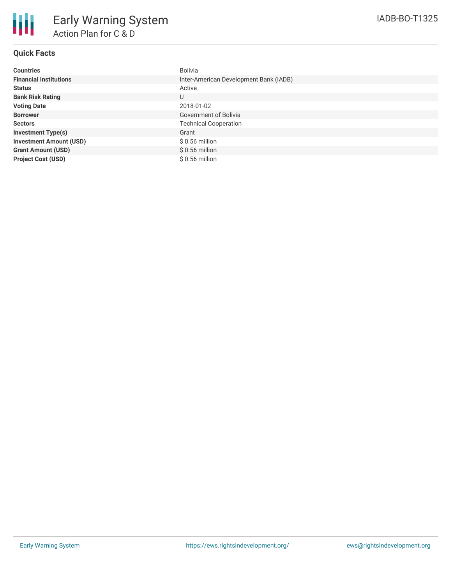

## **Quick Facts**

| <b>Countries</b>               | Bolivia                                |
|--------------------------------|----------------------------------------|
| <b>Financial Institutions</b>  | Inter-American Development Bank (IADB) |
| <b>Status</b>                  | Active                                 |
| <b>Bank Risk Rating</b>        | U                                      |
| <b>Voting Date</b>             | 2018-01-02                             |
| <b>Borrower</b>                | <b>Government of Bolivia</b>           |
| <b>Sectors</b>                 | <b>Technical Cooperation</b>           |
| <b>Investment Type(s)</b>      | Grant                                  |
| <b>Investment Amount (USD)</b> | $$0.56$ million                        |
| <b>Grant Amount (USD)</b>      | $$0.56$ million                        |
| <b>Project Cost (USD)</b>      | \$ 0.56 million                        |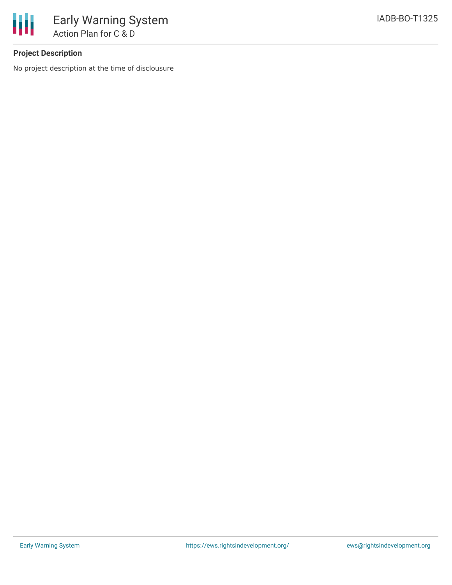

# **Project Description**

No project description at the time of disclousure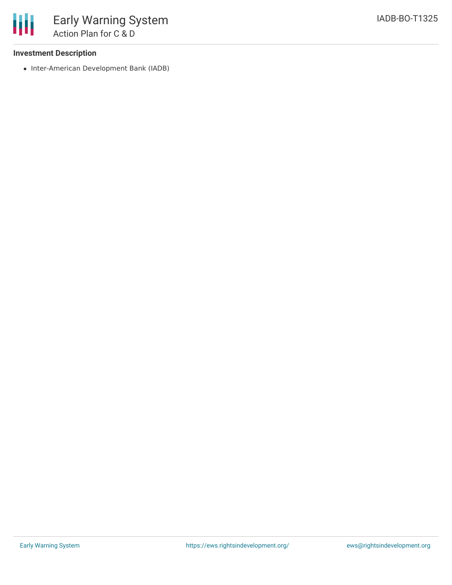### **Investment Description**

• Inter-American Development Bank (IADB)